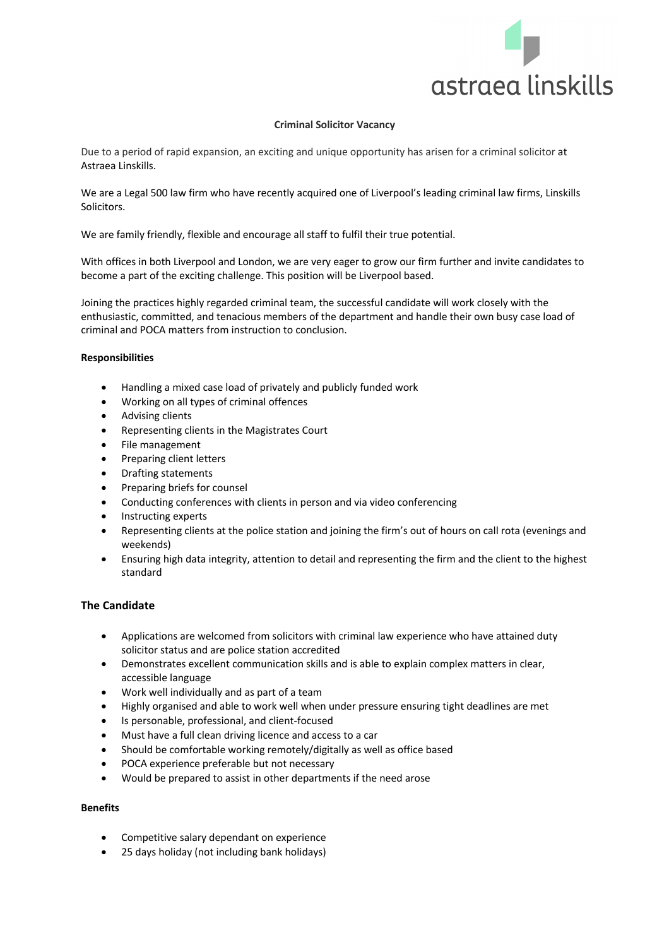

## **Criminal Solicitor Vacancy**

Due to a period of rapid expansion, an exciting and unique opportunity has arisen for a criminal solicitor at Astraea Linskills.

We are a Legal 500 law firm who have recently acquired one of Liverpool's leading criminal law firms, Linskills Solicitors.

We are family friendly, flexible and encourage all staff to fulfil their true potential.

With offices in both Liverpool and London, we are very eager to grow our firm further and invite candidates to become a part of the exciting challenge. This position will be Liverpool based.

Joining the practices highly regarded criminal team, the successful candidate will work closely with the enthusiastic, committed, and tenacious members of the department and handle their own busy case load of criminal and POCA matters from instruction to conclusion.

## **Responsibilities**

- Handling a mixed case load of privately and publicly funded work
- Working on all types of criminal offences
- Advising clients
- Representing clients in the Magistrates Court
- File management
- Preparing client letters
- Drafting statements
- Preparing briefs for counsel
- Conducting conferences with clients in person and via video conferencing
- Instructing experts
- Representing clients at the police station and joining the firm's out of hours on call rota (evenings and weekends)
- Ensuring high data integrity, attention to detail and representing the firm and the client to the highest standard

## **The Candidate**

- Applications are welcomed from solicitors with criminal law experience who have attained duty solicitor status and are police station accredited
- Demonstrates excellent communication skills and is able to explain complex matters in clear, accessible language
- Work well individually and as part of a team
- Highly organised and able to work well when under pressure ensuring tight deadlines are met
- Is personable, professional, and client-focused
- Must have a full clean driving licence and access to a car
- Should be comfortable working remotely/digitally as well as office based
- POCA experience preferable but not necessary
- Would be prepared to assist in other departments if the need arose

## **Benefits**

- Competitive salary dependant on experience
- 25 days holiday (not including bank holidays)